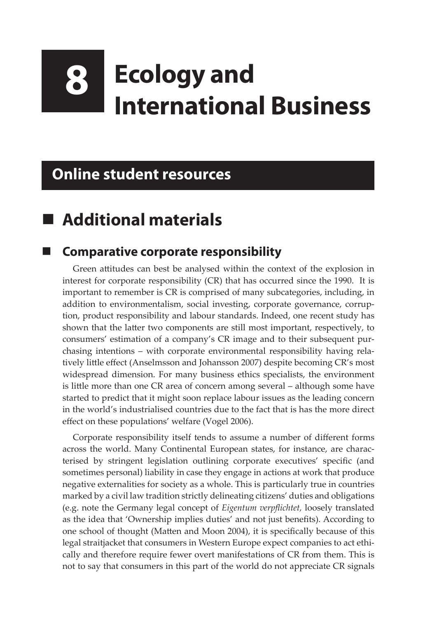# **8 Ecology and International Business**

#### **Online student resources**

## **Additional materials**

#### **Comparative corporate responsibility**

Green attitudes can best be analysed within the context of the explosion in interest for corporate responsibility (CR) that has occurred since the 1990. It is important to remember is CR is comprised of many subcategories, including, in addition to environmentalism, social investing, corporate governance, corruption, product responsibility and labour standards. Indeed, one recent study has shown that the latter two components are still most important, respectively, to consumers' estimation of a company's CR image and to their subsequent purchasing intentions – with corporate environmental responsibility having relatively little effect (Anselmsson and Johansson 2007) despite becoming CR's most widespread dimension. For many business ethics specialists, the environment is little more than one CR area of concern among several – although some have started to predict that it might soon replace labour issues as the leading concern in the world's industrialised countries due to the fact that is has the more direct effect on these populations' welfare (Vogel 2006).

Corporate responsibility itself tends to assume a number of different forms across the world. Many Continental European states, for instance, are characterised by stringent legislation outlining corporate executives' specific (and sometimes personal) liability in case they engage in actions at work that produce negative externalities for society as a whole. This is particularly true in countries marked by a civil law tradition strictly delineating citizens' duties and obligations (e.g. note the Germany legal concept of *Eigentum verpflichtet,* loosely translated as the idea that 'Ownership implies duties' and not just benefits). According to one school of thought (Matten and Moon 2004), it is specifically because of this legal straitjacket that consumers in Western Europe expect companies to act ethically and therefore require fewer overt manifestations of CR from them. This is not to say that consumers in this part of the world do not appreciate CR signals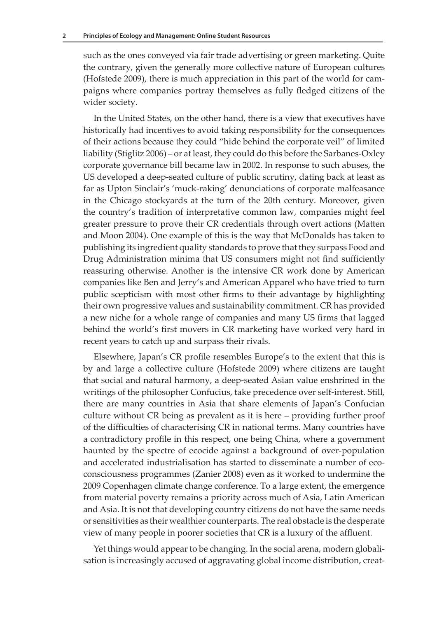such as the ones conveyed via fair trade advertising or green marketing. Quite the contrary, given the generally more collective nature of European cultures (Hofstede 2009), there is much appreciation in this part of the world for campaigns where companies portray themselves as fully fledged citizens of the wider society.

In the United States, on the other hand, there is a view that executives have historically had incentives to avoid taking responsibility for the consequences of their actions because they could "hide behind the corporate veil" of limited liability (Stiglitz 2006) – or at least, they could do this before the Sarbanes-Oxley corporate governance bill became law in 2002. In response to such abuses, the US developed a deep-seated culture of public scrutiny, dating back at least as far as Upton Sinclair's 'muck-raking' denunciations of corporate malfeasance in the Chicago stockyards at the turn of the 20th century. Moreover, given the country's tradition of interpretative common law, companies might feel greater pressure to prove their CR credentials through overt actions (Matten and Moon 2004). One example of this is the way that McDonalds has taken to publishing its ingredient quality standards to prove that they surpass Food and Drug Administration minima that US consumers might not find sufficiently reassuring otherwise. Another is the intensive CR work done by American companies like Ben and Jerry's and American Apparel who have tried to turn public scepticism with most other firms to their advantage by highlighting their own progressive values and sustainability commitment. CR has provided a new niche for a whole range of companies and many US firms that lagged behind the world's first movers in CR marketing have worked very hard in recent years to catch up and surpass their rivals.

Elsewhere, Japan's CR profile resembles Europe's to the extent that this is by and large a collective culture (Hofstede 2009) where citizens are taught that social and natural harmony, a deep-seated Asian value enshrined in the writings of the philosopher Confucius, take precedence over self-interest. Still, there are many countries in Asia that share elements of Japan's Confucian culture without CR being as prevalent as it is here – providing further proof of the difficulties of characterising CR in national terms. Many countries have a contradictory profile in this respect, one being China, where a government haunted by the spectre of ecocide against a background of over-population and accelerated industrialisation has started to disseminate a number of ecoconsciousness programmes (Zanier 2008) even as it worked to undermine the 2009 Copenhagen climate change conference. To a large extent, the emergence from material poverty remains a priority across much of Asia, Latin American and Asia. It is not that developing country citizens do not have the same needs or sensitivities as their wealthier counterparts. The real obstacle is the desperate view of many people in poorer societies that CR is a luxury of the affluent.

Yet things would appear to be changing. In the social arena, modern globalisation is increasingly accused of aggravating global income distribution, creat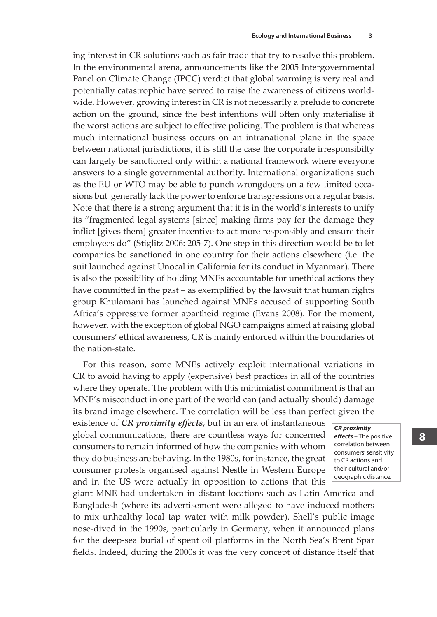ing interest in CR solutions such as fair trade that try to resolve this problem. In the environmental arena, announcements like the 2005 Intergovernmental Panel on Climate Change (IPCC) verdict that global warming is very real and potentially catastrophic have served to raise the awareness of citizens worldwide. However, growing interest in CR is not necessarily a prelude to concrete action on the ground, since the best intentions will often only materialise if the worst actions are subject to effective policing. The problem is that whereas much international business occurs on an intranational plane in the space between national jurisdictions, it is still the case the corporate irresponsibilty can largely be sanctioned only within a national framework where everyone answers to a single governmental authority. International organizations such as the EU or WTO may be able to punch wrongdoers on a few limited occasions but generally lack the power to enforce transgressions on a regular basis. Note that there is a strong argument that it is in the world's interests to unify its "fragmented legal systems [since] making firms pay for the damage they inflict [gives them] greater incentive to act more responsibly and ensure their employees do" (Stiglitz 2006: 205-7). One step in this direction would be to let companies be sanctioned in one country for their actions elsewhere (i.e. the suit launched against Unocal in California for its conduct in Myanmar). There is also the possibility of holding MNEs accountable for unethical actions they have committed in the past – as exemplified by the lawsuit that human rights group Khulamani has launched against MNEs accused of supporting South Africa's oppressive former apartheid regime (Evans 2008). For the moment, however, with the exception of global NGO campaigns aimed at raising global consumers' ethical awareness, CR is mainly enforced within the boundaries of the nation-state.

For this reason, some MNEs actively exploit international variations in CR to avoid having to apply (expensive) best practices in all of the countries where they operate. The problem with this minimialist commitment is that an MNE's misconduct in one part of the world can (and actually should) damage its brand image elsewhere. The correlation will be less than perfect given the

existence of *CR proximity effects*, but in an era of instantaneous global communications, there are countless ways for concerned consumers to remain informed of how the companies with whom they do business are behaving. In the 1980s, for instance, the great consumer protests organised against Nestle in Western Europe and in the US were actually in opposition to actions that this

*CR proximity effects* – The positive correlation between consumers' sensitivity to CR actions and their cultural and/or

geographic distance.

giant MNE had undertaken in distant locations such as Latin America and Bangladesh (where its advertisement were alleged to have induced mothers to mix unhealthy local tap water with milk powder). Shell's public image nose-dived in the 1990s, particularly in Germany, when it announced plans for the deep-sea burial of spent oil platforms in the North Sea's Brent Spar fields. Indeed, during the 2000s it was the very concept of distance itself that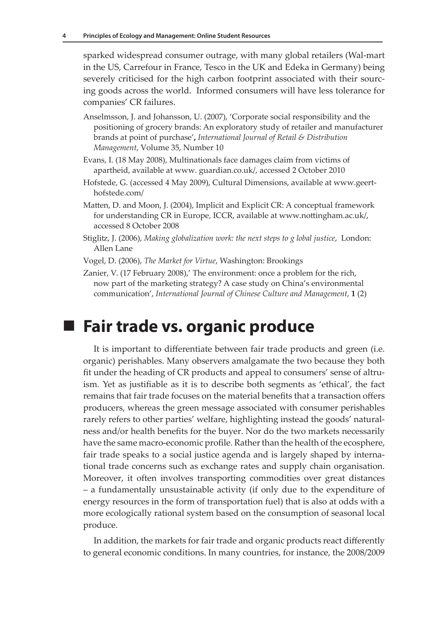sparked widespread consumer outrage, with many global retailers (Wal-mart in the US, Carrefour in France, Tesco in the UK and Edeka in Germany) being severely criticised for the high carbon footprint associated with their sourcing goods across the world. Informed consumers will have less tolerance for companies' CR failures.

- Anselmsson, J. and Johansson, U. (2007), 'Corporate social responsibility and the positioning of grocery brands: An exploratory study of retailer and manufacturer brands at point of purchase'**,** *International Journal of Retail & Distribution Management*, Volume 35, Number 10
- Evans, I. (18 May 2008), Multinationals face damages claim from victims of apartheid, available at www. guardian.co.uk/, accessed 2 October 2010
- Hofstede, G. (accessed 4 May 2009), Cultural Dimensions, available at www.geerthofstede.com/
- Matten, D. and Moon, J. (2004), Implicit and Explicit CR: A conceptual framework for understanding CR in Europe, ICCR, available at www.nottingham.ac.uk/, accessed 8 October 2008
- Stiglitz, J. (2006), *Making globalization work: the next steps to g lobal justice*, London: Allen Lane
- Vogel, D. (2006), *The Market for Virtue*, Washington: Brookings
- Zanier, V. (17 February 2008),' The environment: once a problem for the rich, now part of the marketing strategy? A case study on China's environmental communication', *International Journal of Chinese Culture and Management*, **1** (2)

#### **Fair trade vs. organic produce**

It is important to differentiate between fair trade products and green (i.e. organic) perishables. Many observers amalgamate the two because they both fit under the heading of CR products and appeal to consumers' sense of altruism. Yet as justifiable as it is to describe both segments as 'ethical', the fact remains that fair trade focuses on the material benefits that a transaction offers producers, whereas the green message associated with consumer perishables rarely refers to other parties' welfare, highlighting instead the goods' naturalness and/or health benefits for the buyer. Nor do the two markets necessarily have the same macro-economic profile. Rather than the health of the ecosphere, fair trade speaks to a social justice agenda and is largely shaped by international trade concerns such as exchange rates and supply chain organisation. Moreover, it often involves transporting commodities over great distances – a fundamentally unsustainable activity (if only due to the expenditure of energy resources in the form of transportation fuel) that is also at odds with a more ecologically rational system based on the consumption of seasonal local produce.

In addition, the markets for fair trade and organic products react differently to general economic conditions. In many countries, for instance, the 2008/2009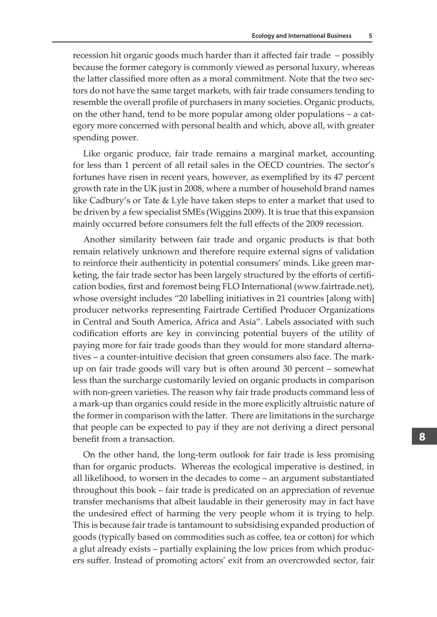recession hit organic goods much harder than it affected fair trade – possibly because the former category is commonly viewed as personal luxury, whereas the latter classified more often as a moral commitment. Note that the two sectors do not have the same target markets, with fair trade consumers tending to resemble the overall profile of purchasers in many societies. Organic products, on the other hand, tend to be more popular among older populations – a category more concerned with personal health and which, above all, with greater spending power.

Like organic produce, fair trade remains a marginal market, accounting for less than 1 percent of all retail sales in the OECD countries. The sector's fortunes have risen in recent years, however, as exemplified by its 47 percent growth rate in the UK just in 2008, where a number of household brand names like Cadbury's or Tate & Lyle have taken steps to enter a market that used to be driven by a few specialist SMEs (Wiggins 2009). It is true that this expansion mainly occurred before consumers felt the full effects of the 2009 recession.

Another similarity between fair trade and organic products is that both remain relatively unknown and therefore require external signs of validation to reinforce their authenticity in potential consumers' minds. Like green marketing, the fair trade sector has been largely structured by the efforts of certification bodies, first and foremost being FLO International (www.fairtrade.net), whose oversight includes "20 labelling initiatives in 21 countries [along with] producer networks representing Fairtrade Certified Producer Organizations in Central and South America, Africa and Asia". Labels associated with such codification efforts are key in convincing potential buyers of the utility of paying more for fair trade goods than they would for more standard alternatives – a counter-intuitive decision that green consumers also face. The markup on fair trade goods will vary but is often around 30 percent – somewhat less than the surcharge customarily levied on organic products in comparison with non-green varieties. The reason why fair trade products command less of a mark-up than organics could reside in the more explicitly altruistic nature of the former in comparison with the latter. There are limitations in the surcharge that people can be expected to pay if they are not deriving a direct personal benefit from a transaction.

On the other hand, the long-term outlook for fair trade is less promising than for organic products. Whereas the ecological imperative is destined, in all likelihood, to worsen in the decades to come – an argument substantiated throughout this book – fair trade is predicated on an appreciation of revenue transfer mechanisms that albeit laudable in their generosity may in fact have the undesired effect of harming the very people whom it is trying to help. This is because fair trade is tantamount to subsidising expanded production of goods (typically based on commodities such as coffee, tea or cotton) for which a glut already exists – partially explaining the low prices from which producers suffer. Instead of promoting actors' exit from an overcrowded sector, fair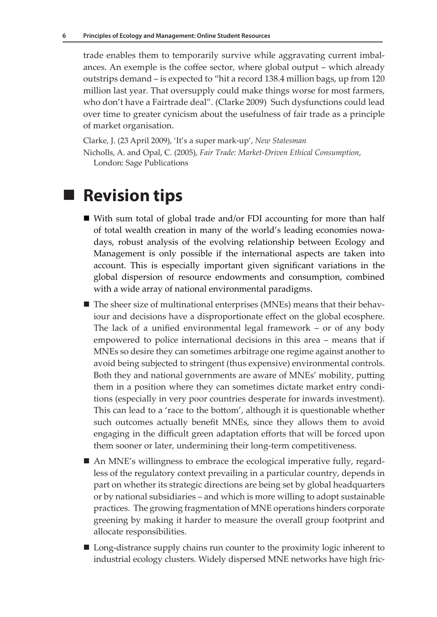trade enables them to temporarily survive while aggravating current imbalances. An exemple is the coffee sector, where global output – which already outstrips demand – is expected to "hit a record 138.4 million bags, up from 120 million last year. That oversupply could make things worse for most farmers, who don't have a Fairtrade deal". (Clarke 2009) Such dysfunctions could lead over time to greater cynicism about the usefulness of fair trade as a principle of market organisation.

Clarke, J. (23 April 2009), 'It's a super mark-up', *New Statesman* Nicholls, A. and Opal, C. (2005), *Fair Trade: Market-Driven Ethical Consumption*, London: Sage Publications

### ■ Revision tips

- With sum total of global trade and/or FDI accounting for more than half of total wealth creation in many of the world's leading economies nowadays, robust analysis of the evolving relationship between Ecology and Management is only possible if the international aspects are taken into account. This is especially important given significant variations in the global dispersion of resource endowments and consumption, combined with a wide array of national environmental paradigms.
- The sheer size of multinational enterprises (MNEs) means that their behaviour and decisions have a disproportionate effect on the global ecosphere. The lack of a unified environmental legal framework – or of any body empowered to police international decisions in this area – means that if MNEs so desire they can sometimes arbitrage one regime against another to avoid being subjected to stringent (thus expensive) environmental controls. Both they and national governments are aware of MNEs' mobility, putting them in a position where they can sometimes dictate market entry conditions (especially in very poor countries desperate for inwards investment). This can lead to a 'race to the bottom', although it is questionable whether such outcomes actually benefit MNEs, since they allows them to avoid engaging in the difficult green adaptation efforts that will be forced upon them sooner or later, undermining their long-term competitiveness.
- An MNE's willingness to embrace the ecological imperative fully, regardless of the regulatory context prevailing in a particular country, depends in part on whether its strategic directions are being set by global headquarters or by national subsidiaries – and which is more willing to adopt sustainable practices. The growing fragmentation of MNE operations hinders corporate greening by making it harder to measure the overall group footprint and allocate responsibilities.
- Long-distrance supply chains run counter to the proximity logic inherent to industrial ecology clusters. Widely dispersed MNE networks have high fric-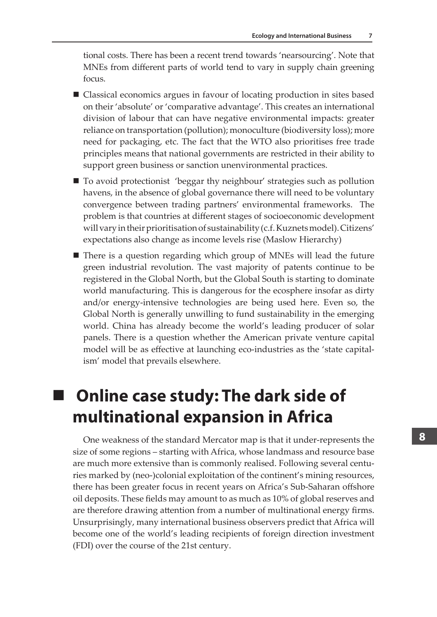tional costs. There has been a recent trend towards 'nearsourcing'. Note that MNEs from different parts of world tend to vary in supply chain greening focus.

- Classical economics argues in favour of locating production in sites based on their 'absolute' or 'comparative advantage'. This creates an international division of labour that can have negative environmental impacts: greater reliance on transportation (pollution); monoculture (biodiversity loss); more need for packaging, etc. The fact that the WTO also prioritises free trade principles means that national governments are restricted in their ability to support green business or sanction unenvironmental practices.
- To avoid protectionist 'beggar thy neighbour' strategies such as pollution havens, in the absence of global governance there will need to be voluntary convergence between trading partners' environmental frameworks. The problem is that countries at different stages of socioeconomic development will vary in their prioritisation of sustainability (c.f. Kuznets model). Citizens' expectations also change as income levels rise (Maslow Hierarchy)
- $\blacksquare$  There is a question regarding which group of MNEs will lead the future green industrial revolution. The vast majority of patents continue to be registered in the Global North, but the Global South is starting to dominate world manufacturing. This is dangerous for the ecosphere insofar as dirty and/or energy-intensive technologies are being used here. Even so, the Global North is generally unwilling to fund sustainability in the emerging world. China has already become the world's leading producer of solar panels. There is a question whether the American private venture capital model will be as effective at launching eco-industries as the 'state capitalism' model that prevails elsewhere.

# **Online case study: The dark side of multinational expansion in Africa**

One weakness of the standard Mercator map is that it under-represents the size of some regions – starting with Africa, whose landmass and resource base are much more extensive than is commonly realised. Following several centuries marked by (neo-)colonial exploitation of the continent's mining resources, there has been greater focus in recent years on Africa's Sub-Saharan offshore oil deposits. These fields may amount to as much as 10% of global reserves and are therefore drawing attention from a number of multinational energy firms. Unsurprisingly, many international business observers predict that Africa will become one of the world's leading recipients of foreign direction investment (FDI) over the course of the 21st century.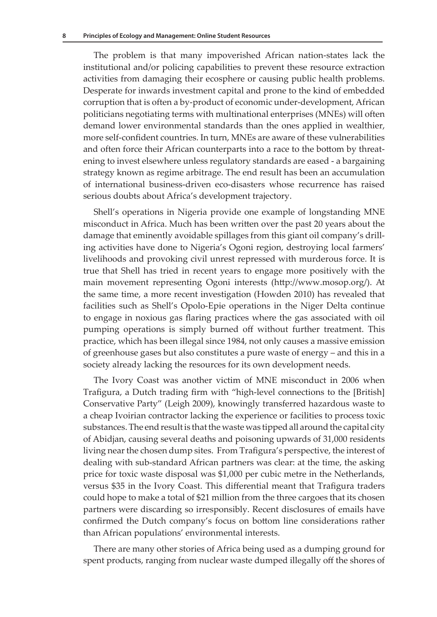The problem is that many impoverished African nation-states lack the institutional and/or policing capabilities to prevent these resource extraction activities from damaging their ecosphere or causing public health problems. Desperate for inwards investment capital and prone to the kind of embedded corruption that is often a by-product of economic under-development, African politicians negotiating terms with multinational enterprises (MNEs) will often demand lower environmental standards than the ones applied in wealthier, more self-confident countries. In turn, MNEs are aware of these vulnerabilities and often force their African counterparts into a race to the bottom by threatening to invest elsewhere unless regulatory standards are eased - a bargaining strategy known as regime arbitrage. The end result has been an accumulation of international business-driven eco-disasters whose recurrence has raised serious doubts about Africa's development trajectory.

Shell's operations in Nigeria provide one example of longstanding MNE misconduct in Africa. Much has been written over the past 20 years about the damage that eminently avoidable spillages from this giant oil company's drilling activities have done to Nigeria's Ogoni region, destroying local farmers' livelihoods and provoking civil unrest repressed with murderous force. It is true that Shell has tried in recent years to engage more positively with the main movement representing Ogoni interests (http://www.mosop.org/). At the same time, a more recent investigation (Howden 2010) has revealed that facilities such as Shell's Opolo-Epie operations in the Niger Delta continue to engage in noxious gas flaring practices where the gas associated with oil pumping operations is simply burned off without further treatment. This practice, which has been illegal since 1984, not only causes a massive emission of greenhouse gases but also constitutes a pure waste of energy – and this in a society already lacking the resources for its own development needs.

The Ivory Coast was another victim of MNE misconduct in 2006 when Trafigura, a Dutch trading firm with "high-level connections to the [British] Conservative Party" (Leigh 2009), knowingly transferred hazardous waste to a cheap Ivoirian contractor lacking the experience or facilities to process toxic substances. The end result is that the waste was tipped all around the capital city of Abidjan, causing several deaths and poisoning upwards of 31,000 residents living near the chosen dump sites. From Trafigura's perspective, the interest of dealing with sub-standard African partners was clear: at the time, the asking price for toxic waste disposal was \$1,000 per cubic metre in the Netherlands, versus \$35 in the Ivory Coast. This differential meant that Trafigura traders could hope to make a total of \$21 million from the three cargoes that its chosen partners were discarding so irresponsibly. Recent disclosures of emails have confirmed the Dutch company's focus on bottom line considerations rather than African populations' environmental interests.

There are many other stories of Africa being used as a dumping ground for spent products, ranging from nuclear waste dumped illegally off the shores of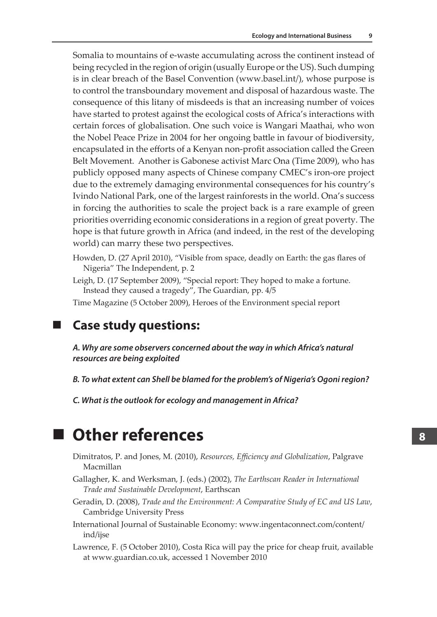Somalia to mountains of e-waste accumulating across the continent instead of being recycled in the region of origin (usually Europe or the US). Such dumping is in clear breach of the Basel Convention (www.basel.int/), whose purpose is to control the transboundary movement and disposal of hazardous waste. The consequence of this litany of misdeeds is that an increasing number of voices have started to protest against the ecological costs of Africa's interactions with certain forces of globalisation. One such voice is Wangari Maathai, who won the Nobel Peace Prize in 2004 for her ongoing battle in favour of biodiversity, encapsulated in the efforts of a Kenyan non-profit association called the Green Belt Movement. Another is Gabonese activist Marc Ona (Time 2009), who has publicly opposed many aspects of Chinese company CMEC's iron-ore project due to the extremely damaging environmental consequences for his country's Ivindo National Park, one of the largest rainforests in the world. Ona's success in forcing the authorities to scale the project back is a rare example of green priorities overriding economic considerations in a region of great poverty. The hope is that future growth in Africa (and indeed, in the rest of the developing world) can marry these two perspectives.

- Howden, D. (27 April 2010), "Visible from space, deadly on Earth: the gas flares of Nigeria" The Independent, p. 2
- Leigh, D. (17 September 2009), "Special report: They hoped to make a fortune. Instead they caused a tragedy", The Guardian, pp. 4/5
- Time Magazine (5 October 2009), Heroes of the Environment special report

**Case study questions:**

*A. Why are some observers concerned about the way in which Africa's natural resources are being exploited*

- *B. To what extent can Shell be blamed for the problem's of Nigeria's Ogoni region?*
- *C. What is the outlook for ecology and management in Africa?*

#### **Other references**

- Dimitratos, P. and Jones, M. (2010), *Resources, Efficiency and Globalization*, Palgrave Macmillan
- Gallagher, K. and Werksman, J. (eds.) (2002), *The Earthscan Reader in International Trade and Sustainable Development*, Earthscan
- Geradin, D. (2008), *Trade and the Environment: A Comparative Study of EC and US Law*, Cambridge University Press
- International Journal of Sustainable Economy: www.ingentaconnect.com/content/ ind/ijse
- Lawrence, F. (5 October 2010), Costa Rica will pay the price for cheap fruit, available at www.guardian.co.uk, accessed 1 November 2010